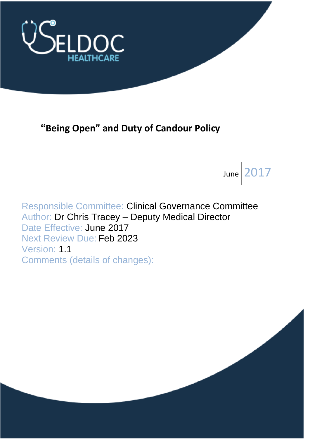

# **"Being Open" and Duty of Candour Policy**

June  $|2017$ 

Responsible Committee: Clinical Governance Committee Author: Dr Chris Tracey – Deputy Medical Director Date Effective: June 2017 Next Review Due: Feb 2023 Version: 1.1 Comments (details of changes):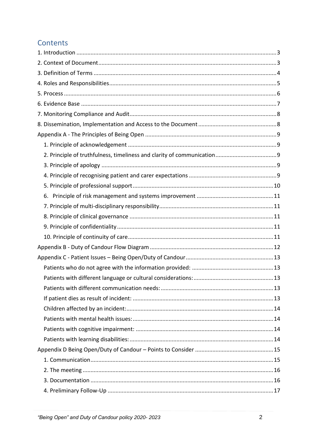### Contents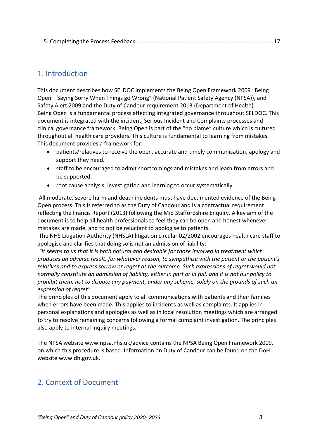|--|

### <span id="page-2-0"></span>1. Introduction

This document describes how SELDOC implements the Being Open Framework 2009 "Being Open – Saying Sorry When Things go Wrong" (National Patient Safety Agency (NPSA)), and Safety Alert 2009 and the Duty of Candour requirement 2013 (Department of Health). Being Open is a fundamental process affecting integrated governance throughout SELDOC. This document is integrated with the incident, Serious Incident and Complaints processes and clinical governance framework. Being Open is part of the "no blame" culture which is cultured throughout all health care providers. This culture is fundamental to learning from mistakes. This document provides a framework for:

- patients/relatives to receive the open, accurate and timely communication, apology and support they need.
- staff to be encouraged to admit shortcomings and mistakes and learn from errors and be supported.
- root cause analysis, investigation and learning to occur systematically.

All moderate, severe harm and death incidents must have documented evidence of the Being Open process. This is referred to as the Duty of Candour and is a contractual requirement reflecting the Francis Report (2013) following the Mid Staffordshire Enquiry. A key aim of the document is to help all health professionals to feel they can be open and honest whenever mistakes are made, and to not be reluctant to apologise to patients.

The NHS Litigation Authority (NHSLA) litigation circular 02/2002 encourages health care staff to apologise and clarifies that doing so is not an admission of liability:

*"It seems to us that it is both natural and desirable for those involved in treatment which produces an adverse result, for whatever reason, to sympathise with the patient or the patient's relatives and to express sorrow or regret at the outcome. Such expressions of regret would not normally constitute an admission of liability, either in part or in full, and it is not our policy to prohibit them, not to dispute any payment, under any scheme, solely on the grounds of such an expression of regret"* 

The principles of this document apply to all communications with patients and their families when errors have been made. This applies to incidents as well as complaints. It applies in personal explanations and apologies as well as in local resolution meetings which are arranged to try to resolve remaining concerns following a formal complaint investigation. The principles also apply to internal inquiry meetings.

The NPSA website www.npsa.nhs.uk/advice contains the NPSA Being Open Framework 2009, on which this procedure is based. Information on Duty of Candour can be found on the DoH website www.dh.gov.uk.

### <span id="page-2-1"></span>2. Context of Document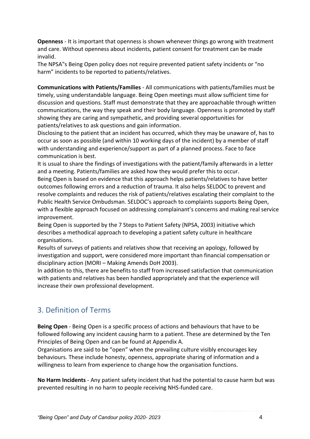**Openness** - It is important that openness is shown whenever things go wrong with treatment and care. Without openness about incidents, patient consent for treatment can be made invalid.

The NPSA"s Being Open policy does not require prevented patient safety incidents or "no harm" incidents to be reported to patients/relatives.

**Communications with Patients/Families** - All communications with patients/families must be timely, using understandable language. Being Open meetings must allow sufficient time for discussion and questions. Staff must demonstrate that they are approachable through written communications, the way they speak and their body language. Openness is promoted by staff showing they are caring and sympathetic, and providing several opportunities for patients/relatives to ask questions and gain information.

Disclosing to the patient that an incident has occurred, which they may be unaware of, has to occur as soon as possible (and within 10 working days of the incident) by a member of staff with understanding and experience/support as part of a planned process. Face to face communication is best.

It is usual to share the findings of investigations with the patient/family afterwards in a letter and a meeting. Patients/families are asked how they would prefer this to occur.

Being Open is based on evidence that this approach helps patients/relatives to have better outcomes following errors and a reduction of trauma. It also helps SELDOC to prevent and resolve complaints and reduces the risk of patients/relatives escalating their complaint to the Public Health Service Ombudsman. SELDOC's approach to complaints supports Being Open, with a flexible approach focused on addressing complainant's concerns and making real service improvement.

Being Open is supported by the 7 Steps to Patient Safety (NPSA, 2003) initiative which describes a methodical approach to developing a patient safety culture in healthcare organisations.

Results of surveys of patients and relatives show that receiving an apology, followed by investigation and support, were considered more important than financial compensation or disciplinary action (MORI – Making Amends DoH 2003).

In addition to this, there are benefits to staff from increased satisfaction that communication with patients and relatives has been handled appropriately and that the experience will increase their own professional development.

# <span id="page-3-0"></span>3. Definition of Terms

**Being Open** - Being Open is a specific process of actions and behaviours that have to be followed following any incident causing harm to a patient. These are determined by the Ten Principles of Being Open and can be found at Appendix A.

Organisations are said to be "open" when the prevailing culture visibly encourages key behaviours. These include honesty, openness, appropriate sharing of information and a willingness to learn from experience to change how the organisation functions.

**No Harm Incidents** - Any patient safety incident that had the potential to cause harm but was prevented resulting in no harm to people receiving NHS-funded care.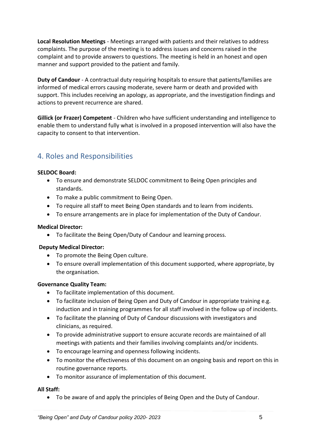**Local Resolution Meetings** - Meetings arranged with patients and their relatives to address complaints. The purpose of the meeting is to address issues and concerns raised in the complaint and to provide answers to questions. The meeting is held in an honest and open manner and support provided to the patient and family.

**Duty of Candour** - A contractual duty requiring hospitals to ensure that patients/families are informed of medical errors causing moderate, severe harm or death and provided with support. This includes receiving an apology, as appropriate, and the investigation findings and actions to prevent recurrence are shared.

**Gillick (or Frazer) Competent** - Children who have sufficient understanding and intelligence to enable them to understand fully what is involved in a proposed intervention will also have the capacity to consent to that intervention.

### <span id="page-4-0"></span>4. Roles and Responsibilities

#### **SELDOC Board:**

- To ensure and demonstrate SELDOC commitment to Being Open principles and standards.
- To make a public commitment to Being Open.
- To require all staff to meet Being Open standards and to learn from incidents.
- To ensure arrangements are in place for implementation of the Duty of Candour.

#### **Medical Director:**

• To facilitate the Being Open/Duty of Candour and learning process.

#### **Deputy Medical Director:**

- To promote the Being Open culture.
- To ensure overall implementation of this document supported, where appropriate, by the organisation.

#### **Governance Quality Team:**

- To facilitate implementation of this document.
- To facilitate inclusion of Being Open and Duty of Candour in appropriate training e.g. induction and in training programmes for all staff involved in the follow up of incidents.
- To facilitate the planning of Duty of Candour discussions with investigators and clinicians, as required.
- To provide administrative support to ensure accurate records are maintained of all meetings with patients and their families involving complaints and/or incidents.
- To encourage learning and openness following incidents.
- To monitor the effectiveness of this document on an ongoing basis and report on this in routine governance reports.
- To monitor assurance of implementation of this document.

#### **All Staff:**

• To be aware of and apply the principles of Being Open and the Duty of Candour.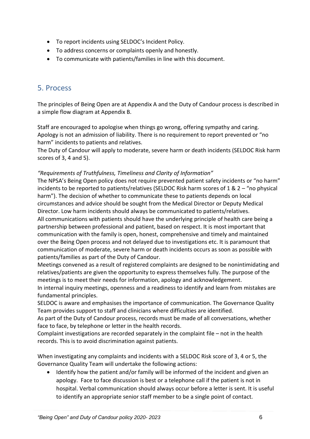- To report incidents using SELDOC's Incident Policy.
- To address concerns or complaints openly and honestly.
- To communicate with patients/families in line with this document.

### <span id="page-5-0"></span>5. Process

The principles of Being Open are at Appendix A and the Duty of Candour process is described in a simple flow diagram at Appendix B.

Staff are encouraged to apologise when things go wrong, offering sympathy and caring. Apology is not an admission of liability. There is no requirement to report prevented or "no harm" incidents to patients and relatives.

The Duty of Candour will apply to moderate, severe harm or death incidents (SELDOC Risk harm scores of 3, 4 and 5).

#### *"Requirements of Truthfulness, Timeliness and Clarity of Information"*

The NPSA's Being Open policy does not require prevented patient safety incidents or "no harm" incidents to be reported to patients/relatives (SELDOC Risk harm scores of 1 & 2 – "no physical harm"). The decision of whether to communicate these to patients depends on local circumstances and advice should be sought from the Medical Director or Deputy Medical Director. Low harm incidents should always be communicated to patients/relatives. All communications with patients should have the underlying principle of health care being a partnership between professional and patient, based on respect. It is most important that communication with the family is open, honest, comprehensive and timely and maintained over the Being Open process and not delayed due to investigations etc. It is paramount that communication of moderate, severe harm or death incidents occurs as soon as possible with patients/families as part of the Duty of Candour.

Meetings convened as a result of registered complaints are designed to be nonintimidating and relatives/patients are given the opportunity to express themselves fully. The purpose of the meetings is to meet their needs for information, apology and acknowledgement.

In internal inquiry meetings, openness and a readiness to identify and learn from mistakes are fundamental principles.

SELDOC is aware and emphasises the importance of communication. The Governance Quality Team provides support to staff and clinicians where difficulties are identified.

As part of the Duty of Candour process, records must be made of all conversations, whether face to face, by telephone or letter in the health records.

Complaint investigations are recorded separately in the complaint file – not in the health records. This is to avoid discrimination against patients.

When investigating any complaints and incidents with a SELDOC Risk score of 3, 4 or 5, the Governance Quality Team will undertake the following actions:

• Identify how the patient and/or family will be informed of the incident and given an apology. Face to face discussion is best or a telephone call if the patient is not in hospital. Verbal communication should always occur before a letter is sent. It is useful to identify an appropriate senior staff member to be a single point of contact.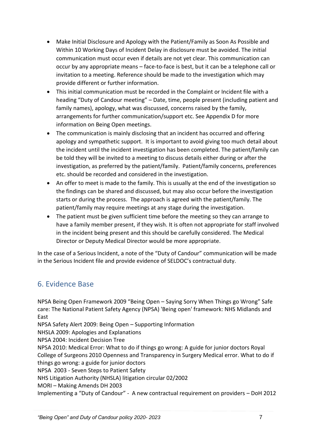- Make Initial Disclosure and Apology with the Patient/Family as Soon As Possible and Within 10 Working Days of Incident Delay in disclosure must be avoided. The initial communication must occur even if details are not yet clear. This communication can occur by any appropriate means – face-to-face is best, but it can be a telephone call or invitation to a meeting. Reference should be made to the investigation which may provide different or further information.
- This initial communication must be recorded in the Complaint or Incident file with a heading "Duty of Candour meeting" – Date, time, people present (including patient and family names), apology, what was discussed, concerns raised by the family, arrangements for further communication/support etc. See Appendix D for more information on Being Open meetings.
- The communication is mainly disclosing that an incident has occurred and offering apology and sympathetic support. It is important to avoid giving too much detail about the incident until the incident investigation has been completed. The patient/family can be told they will be invited to a meeting to discuss details either during or after the investigation, as preferred by the patient/family. Patient/family concerns, preferences etc. should be recorded and considered in the investigation.
- An offer to meet is made to the family. This is usually at the end of the investigation so the findings can be shared and discussed, but may also occur before the investigation starts or during the process. The approach is agreed with the patient/family. The patient/family may require meetings at any stage during the investigation.
- The patient must be given sufficient time before the meeting so they can arrange to have a family member present, if they wish. It is often not appropriate for staff involved in the incident being present and this should be carefully considered. The Medical Director or Deputy Medical Director would be more appropriate.

In the case of a Serious Incident, a note of the "Duty of Candour" communication will be made in the Serious Incident file and provide evidence of SELDOC's contractual duty.

### <span id="page-6-0"></span>6. Evidence Base

NPSA Being Open Framework 2009 "Being Open – Saying Sorry When Things go Wrong" Safe care: The National Patient Safety Agency (NPSA) 'Being open' framework: NHS Midlands and East

NPSA Safety Alert 2009: Being Open – Supporting Information

NHSLA 2009: Apologies and Explanations

NPSA 2004: Incident Decision Tree

NPSA 2010: Medical Error: What to do if things go wrong: A guide for junior doctors Royal College of Surgeons 2010 Openness and Transparency in Surgery Medical error. What to do if things go wrong: a guide for junior doctors

NPSA 2003 - Seven Steps to Patient Safety

NHS Litigation Authority (NHSLA) litigation circular 02/2002

MORI – Making Amends DH 2003

Implementing a "Duty of Candour" - A new contractual requirement on providers – DoH 2012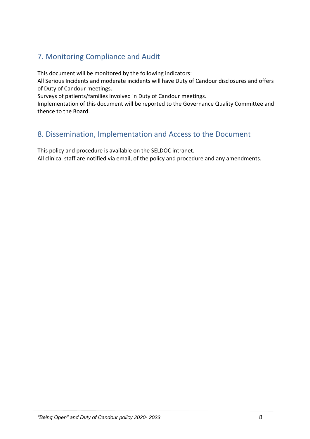# <span id="page-7-0"></span>7. Monitoring Compliance and Audit

This document will be monitored by the following indicators:

All Serious Incidents and moderate incidents will have Duty of Candour disclosures and offers of Duty of Candour meetings.

Surveys of patients/families involved in Duty of Candour meetings.

Implementation of this document will be reported to the Governance Quality Committee and thence to the Board.

### <span id="page-7-1"></span>8. Dissemination, Implementation and Access to the Document

This policy and procedure is available on the SELDOC intranet.

All clinical staff are notified via email, of the policy and procedure and any amendments.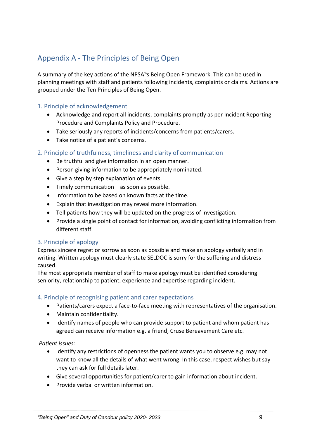### <span id="page-8-0"></span>Appendix A - The Principles of Being Open

A summary of the key actions of the NPSA"s Being Open Framework. This can be used in planning meetings with staff and patients following incidents, complaints or claims. Actions are grouped under the Ten Principles of Being Open.

#### <span id="page-8-1"></span>1. Principle of acknowledgement

- Acknowledge and report all incidents, complaints promptly as per Incident Reporting Procedure and Complaints Policy and Procedure.
- Take seriously any reports of incidents/concerns from patients/carers.
- Take notice of a patient's concerns.

#### <span id="page-8-2"></span>2. Principle of truthfulness, timeliness and clarity of communication

- Be truthful and give information in an open manner.
- Person giving information to be appropriately nominated.
- Give a step by step explanation of events.
- Timely communication as soon as possible.
- Information to be based on known facts at the time.
- Explain that investigation may reveal more information.
- Tell patients how they will be updated on the progress of investigation.
- Provide a single point of contact for information, avoiding conflicting information from different staff.

#### <span id="page-8-3"></span>3. Principle of apology

Express sincere regret or sorrow as soon as possible and make an apology verbally and in writing. Written apology must clearly state SELDOC is sorry for the suffering and distress caused.

The most appropriate member of staff to make apology must be identified considering seniority, relationship to patient, experience and expertise regarding incident.

#### <span id="page-8-4"></span>4. Principle of recognising patient and carer expectations

- Patients/carers expect a face-to-face meeting with representatives of the organisation.
- Maintain confidentiality.
- Identify names of people who can provide support to patient and whom patient has agreed can receive information e.g. a friend, Cruse Bereavement Care etc.

*Patient issues:* 

- Identify any restrictions of openness the patient wants you to observe e.g. may not want to know all the details of what went wrong. In this case, respect wishes but say they can ask for full details later.
- Give several opportunities for patient/carer to gain information about incident.
- Provide verbal or written information.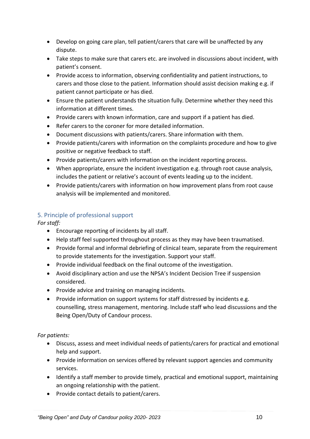- Develop on going care plan, tell patient/carers that care will be unaffected by any dispute.
- Take steps to make sure that carers etc. are involved in discussions about incident, with patient's consent.
- Provide access to information, observing confidentiality and patient instructions, to carers and those close to the patient. Information should assist decision making e.g. if patient cannot participate or has died.
- Ensure the patient understands the situation fully. Determine whether they need this information at different times.
- Provide carers with known information, care and support if a patient has died.
- Refer carers to the coroner for more detailed information.
- Document discussions with patients/carers. Share information with them.
- Provide patients/carers with information on the complaints procedure and how to give positive or negative feedback to staff.
- Provide patients/carers with information on the incident reporting process.
- When appropriate, ensure the incident investigation e.g. through root cause analysis, includes the patient or relative's account of events leading up to the incident.
- Provide patients/carers with information on how improvement plans from root cause analysis will be implemented and monitored.

### <span id="page-9-0"></span>5. Principle of professional support

*For staff:*

- Encourage reporting of incidents by all staff.
- Help staff feel supported throughout process as they may have been traumatised.
- Provide formal and informal debriefing of clinical team, separate from the requirement to provide statements for the investigation. Support your staff.
- Provide individual feedback on the final outcome of the investigation.
- Avoid disciplinary action and use the NPSA's Incident Decision Tree if suspension considered.
- Provide advice and training on managing incidents.
- Provide information on support systems for staff distressed by incidents e.g. counselling, stress management, mentoring. Include staff who lead discussions and the Being Open/Duty of Candour process.

*For patients:*

- Discuss, assess and meet individual needs of patients/carers for practical and emotional help and support.
- Provide information on services offered by relevant support agencies and community services.
- Identify a staff member to provide timely, practical and emotional support, maintaining an ongoing relationship with the patient.
- Provide contact details to patient/carers.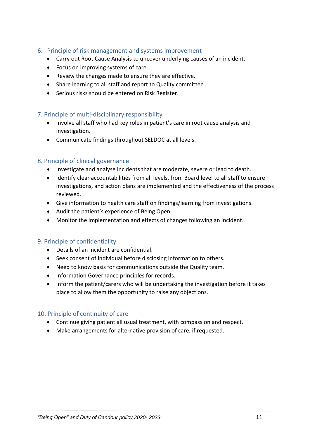- <span id="page-10-0"></span>6. Principle of risk management and systems improvement
	- Carry out Root Cause Analysis to uncover underlying causes of an incident.
	- Focus on improving systems of care.
	- Review the changes made to ensure they are effective.
	- Share learning to all staff and report to Quality committee
	- Serious risks should be entered on Risk Register.

#### <span id="page-10-1"></span>7. Principle of multi-disciplinary responsibility

- Involve all staff who had key roles in patient's care in root cause analysis and investigation.
- Communicate findings throughout SELDOC at all levels.

#### <span id="page-10-2"></span>8. Principle of clinical governance

- Investigate and analyse incidents that are moderate, severe or lead to death.
- Identify clear accountabilities from all levels, from Board level to all staff to ensure investigations, and action plans are implemented and the effectiveness of the process reviewed.
- Give information to health care staff on findings/learning from investigations.
- Audit the patient's experience of Being Open.
- Monitor the implementation and effects of changes following an incident.

#### <span id="page-10-3"></span>9. Principle of confidentiality

- Details of an incident are confidential.
- Seek consent of individual before disclosing information to others.
- Need to know basis for communications outside the Quality team.
- Information Governance principles for records.
- Inform the patient/carers who will be undertaking the investigation before it takes place to allow them the opportunity to raise any objections.

#### <span id="page-10-4"></span>10. Principle of continuity of care

- Continue giving patient all usual treatment, with compassion and respect.
- Make arrangements for alternative provision of care, if requested.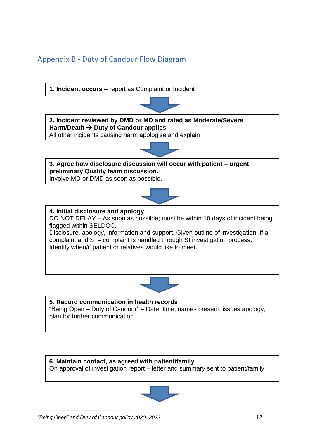### <span id="page-11-0"></span>Appendix B - Duty of Candour Flow Diagram



**6. Maintain contact, as agreed with patient/family** On approval of investigation report – letter and summary sent to patient/family

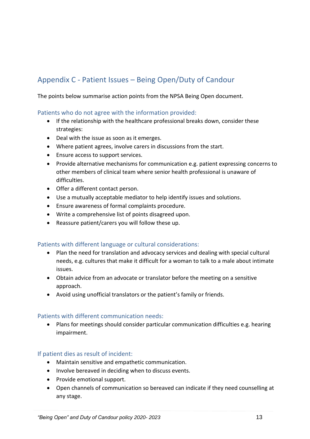# <span id="page-12-0"></span>Appendix C - Patient Issues – Being Open/Duty of Candour

The points below summarise action points from the NPSA Being Open document.

#### <span id="page-12-1"></span>Patients who do not agree with the information provided:

- If the relationship with the healthcare professional breaks down, consider these strategies:
- Deal with the issue as soon as it emerges.
- Where patient agrees, involve carers in discussions from the start.
- Ensure access to support services.
- Provide alternative mechanisms for communication e.g. patient expressing concerns to other members of clinical team where senior health professional is unaware of difficulties.
- Offer a different contact person.
- Use a mutually acceptable mediator to help identify issues and solutions.
- Ensure awareness of formal complaints procedure.
- Write a comprehensive list of points disagreed upon.
- Reassure patient/carers you will follow these up.

#### <span id="page-12-2"></span>Patients with different language or cultural considerations:

- Plan the need for translation and advocacy services and dealing with special cultural needs, e.g. cultures that make it difficult for a woman to talk to a male about intimate issues.
- Obtain advice from an advocate or translator before the meeting on a sensitive approach.
- Avoid using unofficial translators or the patient's family or friends.

#### <span id="page-12-3"></span>Patients with different communication needs:

• Plans for meetings should consider particular communication difficulties e.g. hearing impairment.

#### <span id="page-12-4"></span>If patient dies as result of incident:

- Maintain sensitive and empathetic communication.
- Involve bereaved in deciding when to discuss events.
- Provide emotional support.
- Open channels of communication so bereaved can indicate if they need counselling at any stage.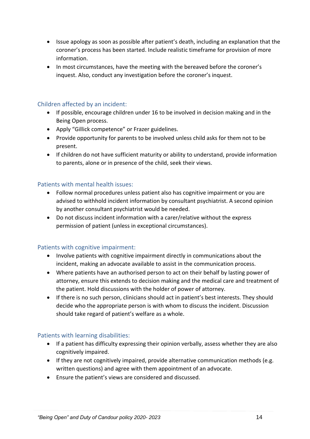- Issue apology as soon as possible after patient's death, including an explanation that the coroner's process has been started. Include realistic timeframe for provision of more information.
- In most circumstances, have the meeting with the bereaved before the coroner's inquest. Also, conduct any investigation before the coroner's inquest.

#### <span id="page-13-0"></span>Children affected by an incident:

- If possible, encourage children under 16 to be involved in decision making and in the Being Open process.
- Apply "Gillick competence" or Frazer guidelines.
- Provide opportunity for parents to be involved unless child asks for them not to be present.
- If children do not have sufficient maturity or ability to understand, provide information to parents, alone or in presence of the child, seek their views.

#### <span id="page-13-1"></span>Patients with mental health issues:

- Follow normal procedures unless patient also has cognitive impairment or you are advised to withhold incident information by consultant psychiatrist. A second opinion by another consultant psychiatrist would be needed.
- Do not discuss incident information with a carer/relative without the express permission of patient (unless in exceptional circumstances).

#### <span id="page-13-2"></span>Patients with cognitive impairment:

- Involve patients with cognitive impairment directly in communications about the incident, making an advocate available to assist in the communication process.
- Where patients have an authorised person to act on their behalf by lasting power of attorney, ensure this extends to decision making and the medical care and treatment of the patient. Hold discussions with the holder of power of attorney.
- If there is no such person, clinicians should act in patient's best interests. They should decide who the appropriate person is with whom to discuss the incident. Discussion should take regard of patient's welfare as a whole.

#### <span id="page-13-3"></span>Patients with learning disabilities:

- If a patient has difficulty expressing their opinion verbally, assess whether they are also cognitively impaired.
- If they are not cognitively impaired, provide alternative communication methods (e.g. written questions) and agree with them appointment of an advocate.
- Ensure the patient's views are considered and discussed.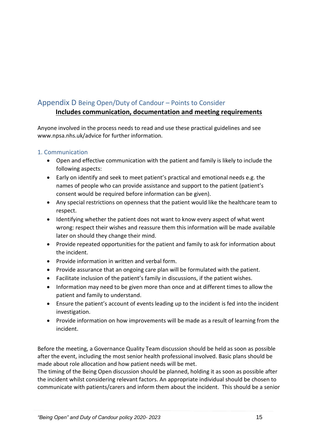### <span id="page-14-0"></span>Appendix D Being Open/Duty of Candour – Points to Consider

### **Includes communication, documentation and meeting requirements**

Anyone involved in the process needs to read and use these practical guidelines and see www.npsa.nhs.uk/advice for further information.

#### <span id="page-14-1"></span>1. Communication

- Open and effective communication with the patient and family is likely to include the following aspects:
- Early on identify and seek to meet patient's practical and emotional needs e.g. the names of people who can provide assistance and support to the patient (patient's consent would be required before information can be given).
- Any special restrictions on openness that the patient would like the healthcare team to respect.
- Identifying whether the patient does not want to know every aspect of what went wrong: respect their wishes and reassure them this information will be made available later on should they change their mind.
- Provide repeated opportunities for the patient and family to ask for information about the incident.
- Provide information in written and verbal form.
- Provide assurance that an ongoing care plan will be formulated with the patient.
- Facilitate inclusion of the patient's family in discussions, if the patient wishes.
- Information may need to be given more than once and at different times to allow the patient and family to understand.
- Ensure the patient's account of events leading up to the incident is fed into the incident investigation.
- Provide information on how improvements will be made as a result of learning from the incident.

Before the meeting, a Governance Quality Team discussion should be held as soon as possible after the event, including the most senior health professional involved. Basic plans should be made about role allocation and how patient needs will be met.

The timing of the Being Open discussion should be planned, holding it as soon as possible after the incident whilst considering relevant factors. An appropriate individual should be chosen to communicate with patients/carers and inform them about the incident. This should be a senior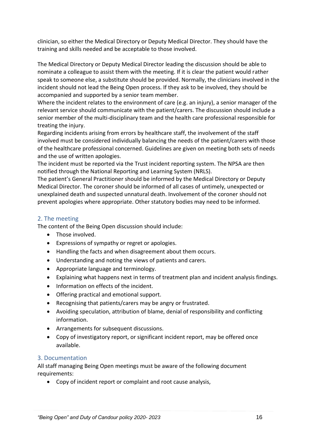clinician, so either the Medical Directory or Deputy Medical Director. They should have the training and skills needed and be acceptable to those involved.

The Medical Directory or Deputy Medical Director leading the discussion should be able to nominate a colleague to assist them with the meeting. If it is clear the patient would rather speak to someone else, a substitute should be provided. Normally, the clinicians involved in the incident should not lead the Being Open process. If they ask to be involved, they should be accompanied and supported by a senior team member.

Where the incident relates to the environment of care (e.g. an injury), a senior manager of the relevant service should communicate with the patient/carers. The discussion should include a senior member of the multi-disciplinary team and the health care professional responsible for treating the injury.

Regarding incidents arising from errors by healthcare staff, the involvement of the staff involved must be considered individually balancing the needs of the patient/carers with those of the healthcare professional concerned. Guidelines are given on meeting both sets of needs and the use of written apologies.

The incident must be reported via the Trust incident reporting system. The NPSA are then notified through the National Reporting and Learning System (NRLS).

The patient's General Practitioner should be informed by the Medical Directory or Deputy Medical Director. The coroner should be informed of all cases of untimely, unexpected or unexplained death and suspected unnatural death. Involvement of the coroner should not prevent apologies where appropriate. Other statutory bodies may need to be informed.

#### <span id="page-15-0"></span>2. The meeting

The content of the Being Open discussion should include:

- Those involved.
- Expressions of sympathy or regret or apologies.
- Handling the facts and when disagreement about them occurs.
- Understanding and noting the views of patients and carers.
- Appropriate language and terminology.
- Explaining what happens next in terms of treatment plan and incident analysis findings.
- Information on effects of the incident.
- Offering practical and emotional support.
- Recognising that patients/carers may be angry or frustrated.
- Avoiding speculation, attribution of blame, denial of responsibility and conflicting information.
- Arrangements for subsequent discussions.
- Copy of investigatory report, or significant incident report, may be offered once available.

#### <span id="page-15-1"></span>3. Documentation

All staff managing Being Open meetings must be aware of the following document requirements:

• Copy of incident report or complaint and root cause analysis,